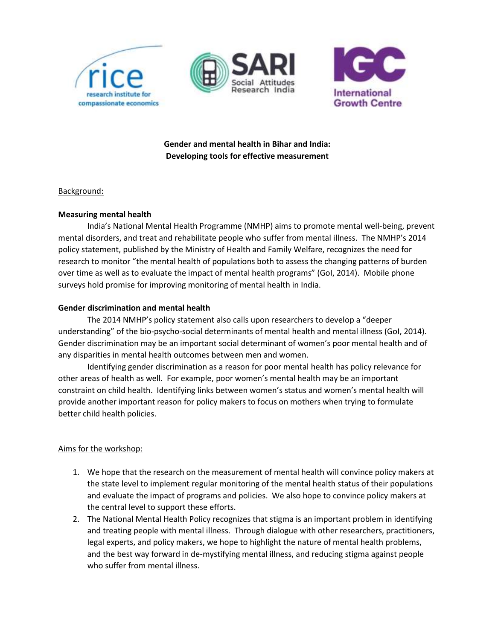





**Gender and mental health in Bihar and India: Developing tools for effective measurement**

### Background:

#### **Measuring mental health**

India's National Mental Health Programme (NMHP) aims to promote mental well-being, prevent mental disorders, and treat and rehabilitate people who suffer from mental illness. The NMHP's 2014 policy statement, published by the Ministry of Health and Family Welfare, recognizes the need for research to monitor "the mental health of populations both to assess the changing patterns of burden over time as well as to evaluate the impact of mental health programs" (GoI, 2014). Mobile phone surveys hold promise for improving monitoring of mental health in India.

#### **Gender discrimination and mental health**

The 2014 NMHP's policy statement also calls upon researchers to develop a "deeper understanding" of the bio-psycho-social determinants of mental health and mental illness (GoI, 2014). Gender discrimination may be an important social determinant of women's poor mental health and of any disparities in mental health outcomes between men and women.

Identifying gender discrimination as a reason for poor mental health has policy relevance for other areas of health as well. For example, poor women's mental health may be an important constraint on child health. Identifying links between women's status and women's mental health will provide another important reason for policy makers to focus on mothers when trying to formulate better child health policies.

#### Aims for the workshop:

- 1. We hope that the research on the measurement of mental health will convince policy makers at the state level to implement regular monitoring of the mental health status of their populations and evaluate the impact of programs and policies. We also hope to convince policy makers at the central level to support these efforts.
- 2. The National Mental Health Policy recognizes that stigma is an important problem in identifying and treating people with mental illness. Through dialogue with other researchers, practitioners, legal experts, and policy makers, we hope to highlight the nature of mental health problems, and the best way forward in de-mystifying mental illness, and reducing stigma against people who suffer from mental illness.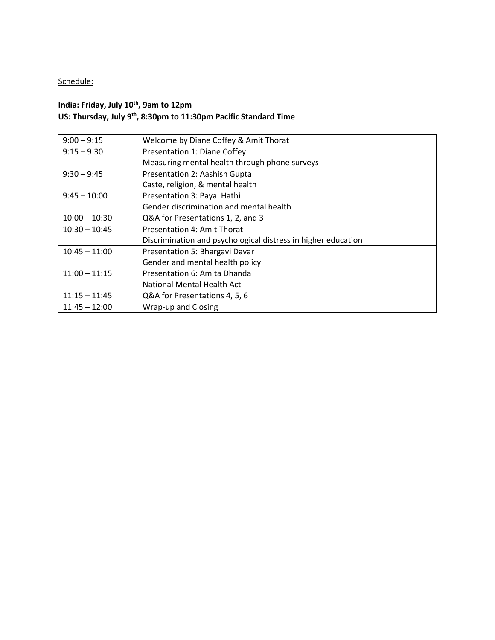# Schedule:

## **India: Friday, July 10th , 9am to 12pm US: Thursday, July 9th , 8:30pm to 11:30pm Pacific Standard Time**

| $9:00 - 9:15$   | Welcome by Diane Coffey & Amit Thorat                         |
|-----------------|---------------------------------------------------------------|
| $9:15 - 9:30$   | Presentation 1: Diane Coffey                                  |
|                 | Measuring mental health through phone surveys                 |
| $9:30 - 9:45$   | Presentation 2: Aashish Gupta                                 |
|                 | Caste, religion, & mental health                              |
| $9:45 - 10:00$  | Presentation 3: Payal Hathi                                   |
|                 | Gender discrimination and mental health                       |
| $10:00 - 10:30$ | Q&A for Presentations 1, 2, and 3                             |
| $10:30 - 10:45$ | <b>Presentation 4: Amit Thorat</b>                            |
|                 | Discrimination and psychological distress in higher education |
| $10:45 - 11:00$ | Presentation 5: Bhargavi Davar                                |
|                 | Gender and mental health policy                               |
| $11:00 - 11:15$ | Presentation 6: Amita Dhanda                                  |
|                 | National Mental Health Act                                    |
| $11:15 - 11:45$ | Q&A for Presentations 4, 5, 6                                 |
| $11:45 - 12:00$ | Wrap-up and Closing                                           |